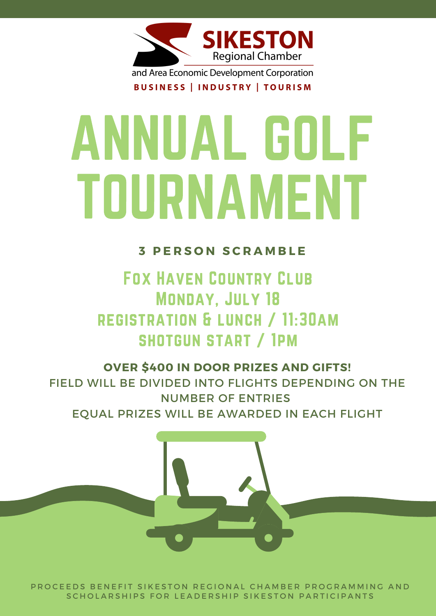

and Area Economic Development Corporation

BUSINESS | INDUSTRY | TOURISM

FOX HAVEN COUNTRY CLUB MONDAY, JULY 18 registration & lunch / 11:30am

## shotgun start / 1pm

# ANNUAL GOLF TOURNAMENT

**3 P E R S O N S C R A M B L E**

### **OVER \$400 IN DOOR PRIZES AND GIFTS!** FIELD WILL BE DIVIDED INTO FLIGHTS DEPENDING ON THE NUMBER OF ENTRIES EQUAL PRIZES WILL BE AWARDED IN EACH FLIGHT



P R O C E E D S B E N E FIT SIKESTON REGIONAL CHAMBER PROGRAMMING AND SCHOLARSHIPS FOR LEADERSHIP SIKESTON PARTICIPANTS